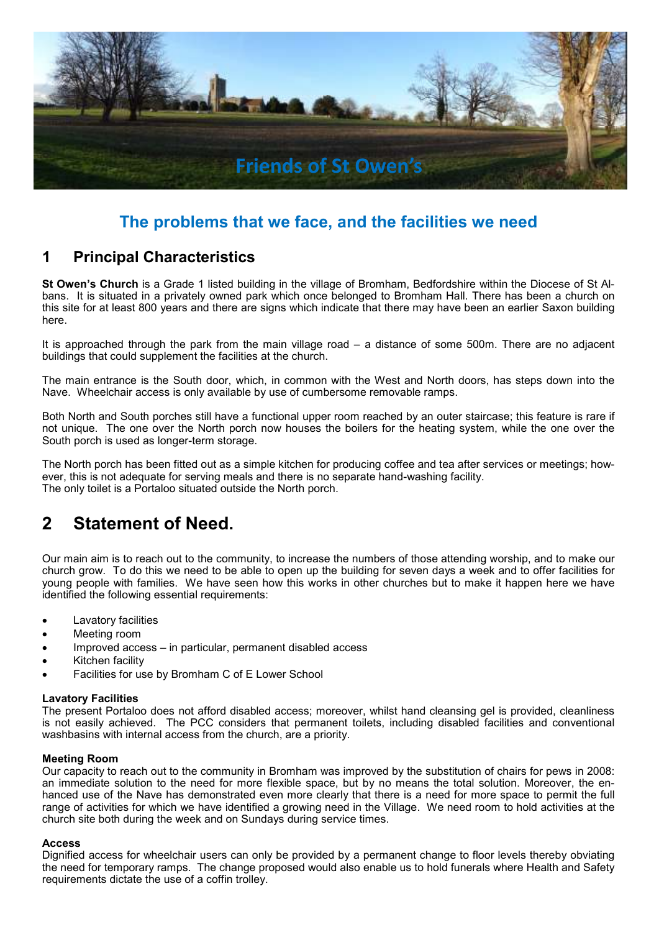

# **The problems that we face, and the facilities we need**

## **1 Principal Characteristics**

**St Owen's Church** is a Grade 1 listed building in the village of Bromham, Bedfordshire within the Diocese of St Albans. It is situated in a privately owned park which once belonged to Bromham Hall. There has been a church on this site for at least 800 years and there are signs which indicate that there may have been an earlier Saxon building here.

It is approached through the park from the main village road – a distance of some 500m. There are no adjacent buildings that could supplement the facilities at the church.

The main entrance is the South door, which, in common with the West and North doors, has steps down into the Nave. Wheelchair access is only available by use of cumbersome removable ramps.

Both North and South porches still have a functional upper room reached by an outer staircase; this feature is rare if not unique. The one over the North porch now houses the boilers for the heating system, while the one over the South porch is used as longer-term storage.

The North porch has been fitted out as a simple kitchen for producing coffee and tea after services or meetings; however, this is not adequate for serving meals and there is no separate hand-washing facility. The only toilet is a Portaloo situated outside the North porch.

# **2 Statement of Need.**

Our main aim is to reach out to the community, to increase the numbers of those attending worship, and to make our church grow. To do this we need to be able to open up the building for seven days a week and to offer facilities for young people with families. We have seen how this works in other churches but to make it happen here we have identified the following essential requirements:

- Lavatory facilities
- Meeting room
- Improved access in particular, permanent disabled access
- Kitchen facility
- Facilities for use by Bromham C of E Lower School

#### **Lavatory Facilities**

The present Portaloo does not afford disabled access; moreover, whilst hand cleansing gel is provided, cleanliness is not easily achieved. The PCC considers that permanent toilets, including disabled facilities and conventional washbasins with internal access from the church, are a priority.

#### **Meeting Room**

Our capacity to reach out to the community in Bromham was improved by the substitution of chairs for pews in 2008: an immediate solution to the need for more flexible space, but by no means the total solution. Moreover, the enhanced use of the Nave has demonstrated even more clearly that there is a need for more space to permit the full range of activities for which we have identified a growing need in the Village. We need room to hold activities at the church site both during the week and on Sundays during service times.

#### **Access**

Dignified access for wheelchair users can only be provided by a permanent change to floor levels thereby obviating the need for temporary ramps. The change proposed would also enable us to hold funerals where Health and Safety requirements dictate the use of a coffin trolley.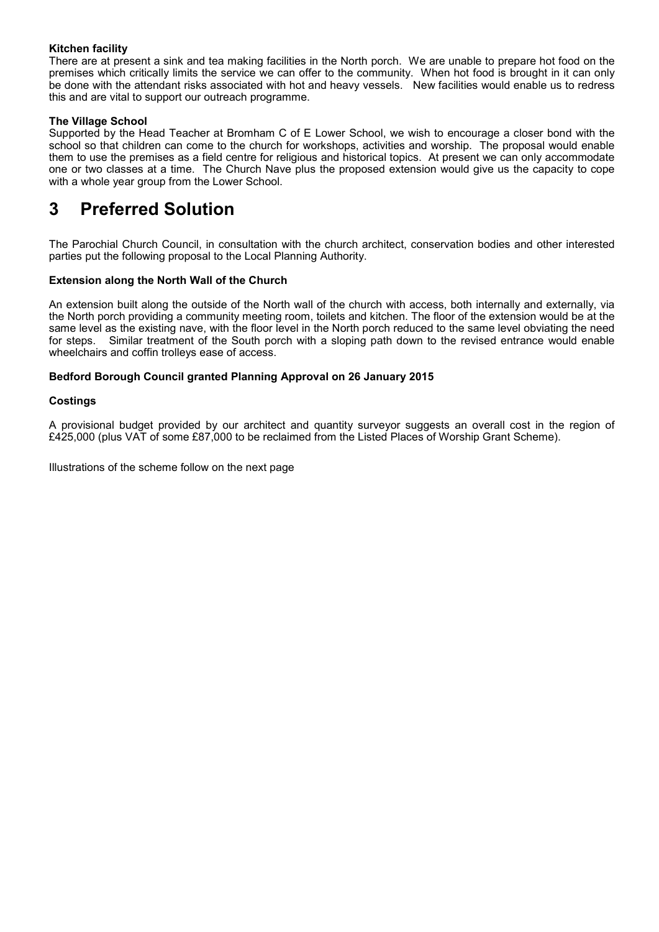### **Kitchen facility**

There are at present a sink and tea making facilities in the North porch. We are unable to prepare hot food on the premises which critically limits the service we can offer to the community. When hot food is brought in it can only be done with the attendant risks associated with hot and heavy vessels. New facilities would enable us to redress this and are vital to support our outreach programme.

### **The Village School**

Supported by the Head Teacher at Bromham C of E Lower School, we wish to encourage a closer bond with the school so that children can come to the church for workshops, activities and worship. The proposal would enable them to use the premises as a field centre for religious and historical topics. At present we can only accommodate one or two classes at a time. The Church Nave plus the proposed extension would give us the capacity to cope with a whole year group from the Lower School.

# **3 Preferred Solution**

The Parochial Church Council, in consultation with the church architect, conservation bodies and other interested parties put the following proposal to the Local Planning Authority.

### **Extension along the North Wall of the Church**

An extension built along the outside of the North wall of the church with access, both internally and externally, via the North porch providing a community meeting room, toilets and kitchen. The floor of the extension would be at the same level as the existing nave, with the floor level in the North porch reduced to the same level obviating the need for steps. Similar treatment of the South porch with a sloping path down to the revised entrance would enable wheelchairs and coffin trolleys ease of access.

### **Bedford Borough Council granted Planning Approval on 26 January 2015**

### **Costings**

A provisional budget provided by our architect and quantity surveyor suggests an overall cost in the region of £425,000 (plus VAT of some £87,000 to be reclaimed from the Listed Places of Worship Grant Scheme).

Illustrations of the scheme follow on the next page